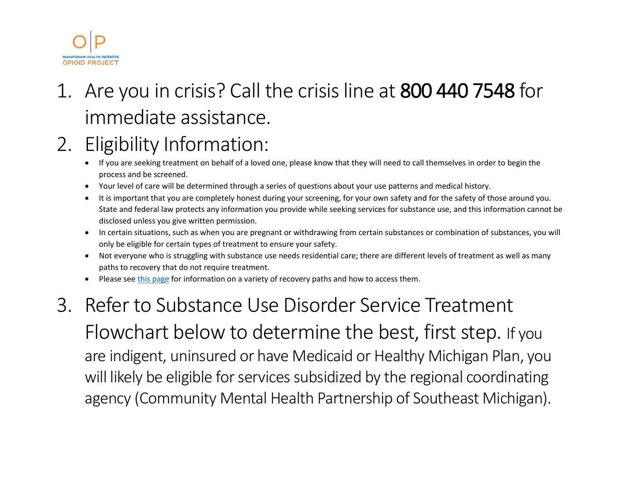

# 1. Are you in crisis? Call the crisis line at 800 440 7548 for immediate assistance.

## 2. Eligibility Information:

- If you are seeking treatment on behalf of a loved one, please know that they will need to call themselves in order to begin the process and be screened.
- Your level of care will be determined through a series of questions about your use patterns and medical history.
- It is important that you are completely honest during your screening, for your own safety and for the safety of those around you. State and federal law protects any information you provide while seeking services for substance use, and this information cannot be disclosed unless you give written permission.
- In certain situations, such as when you are pregnant or withdrawing from certain substances or combination of substances, you will only be eligible for certain types of treatment to ensure your safety.
- Not everyone who is struggling with substance use needs residential care; there are different levels of treatment as well as many paths to recovery that do not require treatment.
- Please see [this page](https://www.whiopioidproject.org/recovery-pathways-other-resources) for information on a variety of recovery paths and how to access them.

### 3. Refer to Substance Use Disorder Service Treatment Flowchart below to determine the best, first step. If you are indigent, uninsured or have Medicaid or Healthy Michigan Plan, you will likely be eligible for services subsidized by the regional coordinating agency (Community Mental Health Partnership of Southeast Michigan).